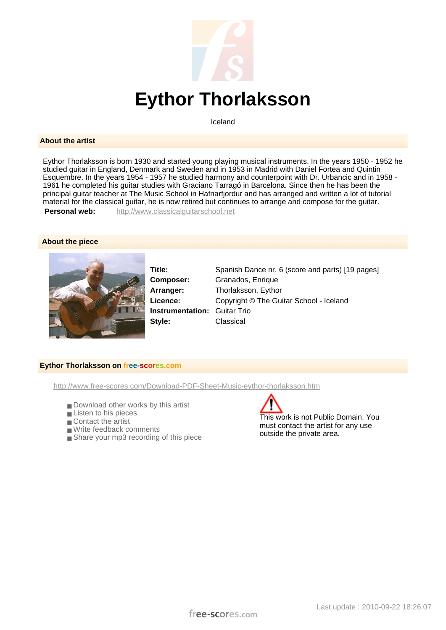

Iceland

#### **About the artist**

Eythor Thorlaksson is born 1930 and started young playing musical instruments. In the years 1950 - 1952 he studied guitar in England, Denmark and Sweden and in 1953 in Madrid with Daniel Fortea and Quintin Esquembre. In the years 1954 - 1957 he studied harmony and counterpoint with Dr. Urbancic and in 1958 - 1961 he completed his guitar studies with Graciano Tarragó in Barcelona. Since then he has been the principal guitar teacher at The Music School in Hafnarfjordur and has arranged and written a lot of tutorial material for the classical guitar, he is now retired but continues to arrange and compose for the guitar.

**Personal web:** http://www.classicalguitarschool.net

#### **About the piece**



**Instrumentation:** Guitar Trio **Style:** Classical

**Title:** Spanish Dance nr. 6 (score and parts) [19 pages] **Composer:** Granados, Enrique **Arranger:** Thorlaksson, Eythor Licence: Copyright © The Guitar School - Iceland

#### **Eythor Thorlaksson on free-scores.com**

http://www.free-scores.com/Download-PDF-Sheet-Music-eythor-thorlaksson.htm

- Download other works by this artist
- Listen to his pieces
- Contact the artist
- Write feedback comments
- Share your mp3 recording of this piece

This work is not Public Domain. You must contact the artist for any use outside the private area.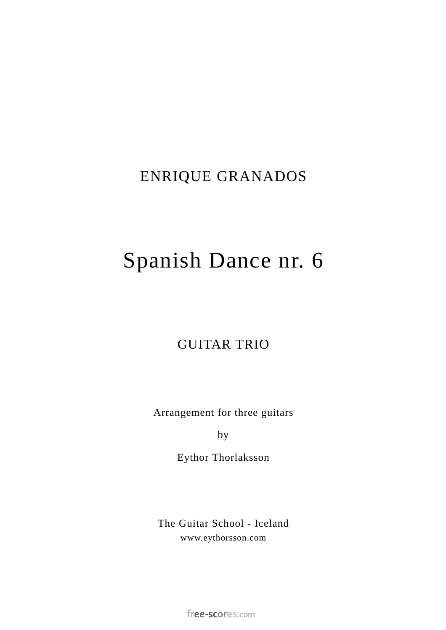## ENRIQUE GRANADOS

## Spanish Dance nr. 6

## GUITAR TRIO

Arrangement for three guitars

by

Eythor Thorlaksson

The Guitar School - Iceland www.eythorsson.com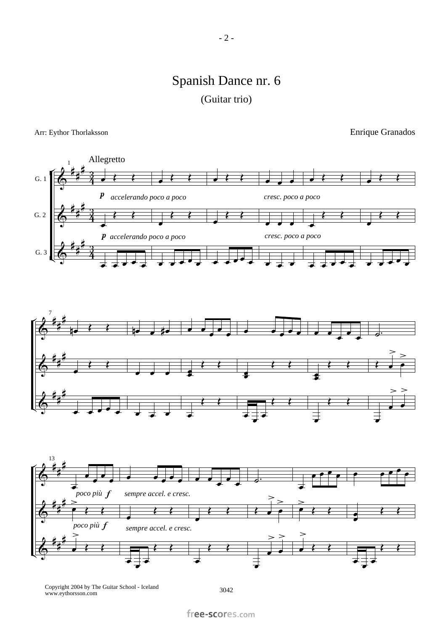## Spanish Dance nr. 6

### (Guitar trio)

Arr: Eythor Thorlaksson Enrique Granados







Copyright 2004 by The Guitar School - Iceland www.eythorsson.com

3042

 $-2-$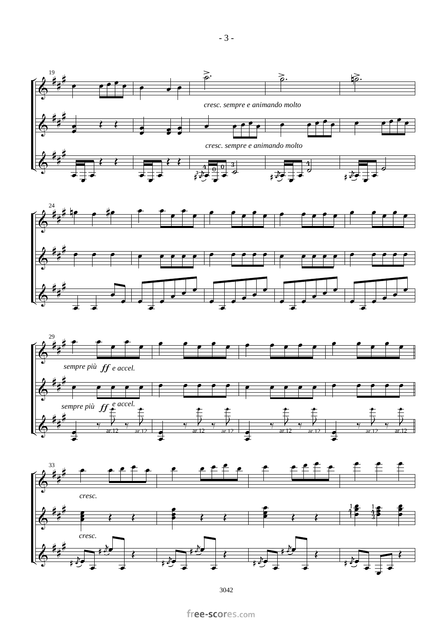





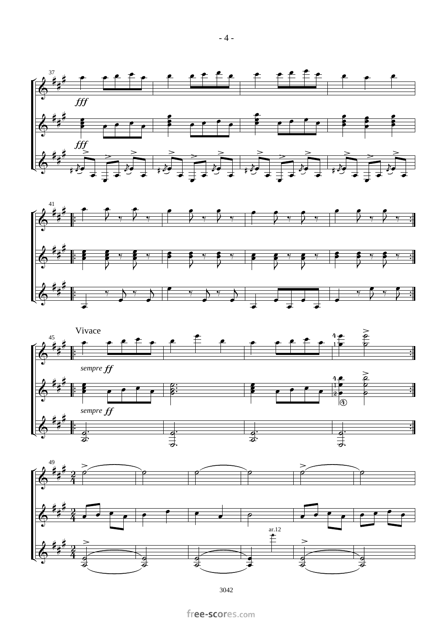





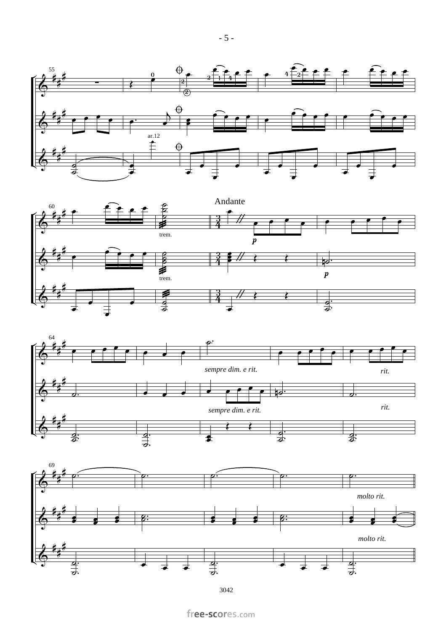





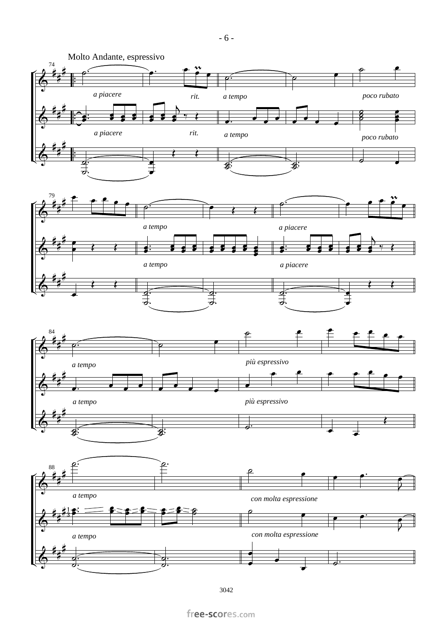$\Theta$ # 74 # # ú. Ï. <sup>Ï</sup> <sup>Ï</sup> <sup>Ï</sup> ú . <sup>ú</sup> <sup>Ï</sup>  $\theta$  $\Theta$ # # #  $\cdot$  :  $\overline{\mathbf{S}}$  , Ï Ï Ï Ï Ï Ï  $\overline{\mathbf{z}}$  , Ï j  $\begin{array}{ccc} \mathbf{a} & \mathbf{b} & \mathbf{b} & \mathbf{b} & \mathbf{b} & \mathbf{b} & \mathbf{b} & \mathbf{b} & \mathbf{b} & \mathbf{b} & \mathbf{b} & \mathbf{b} & \mathbf{b} & \mathbf{b} & \mathbf{b} & \mathbf{b} & \mathbf{b} & \mathbf{b} & \mathbf{b} & \mathbf{b} & \mathbf{b} & \mathbf{b} & \mathbf{b} & \mathbf{b} & \mathbf{b} & \mathbf{b} & \mathbf{b} & \mathbf{b} & \mathbf{b} & \mathbf{b} & \mathbf$ ú g **b** Ï Ï Ï  $\Theta$ # # # .<br>9. ú. <sup>Ï</sup> Ï  $\begin{matrix} \cdot & \cdot \end{matrix}$  $\overbrace{\mathbf{z}}$ :  $\ddot{\bullet}$  $\ddot{\bullet}$  $\ddot{\bullet}$ Â L Molto Andante, espressivo *a piacere a piacere rit. rit. a tempo a tempo poco rubato poco rubato*  $\ddot{\bullet}$ 







3042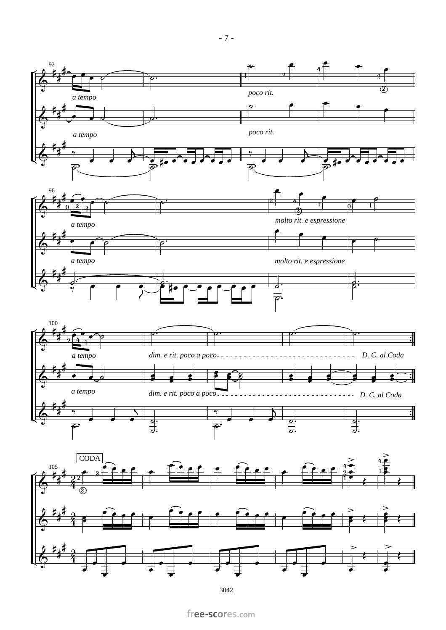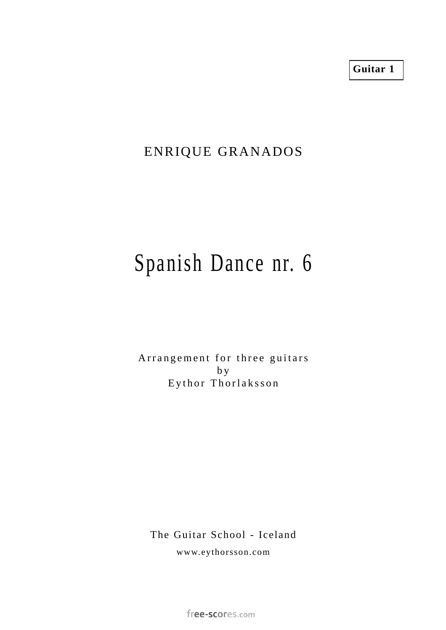**Guitar 1**

## ENRIQUE GRANADOS

# Spanish Dance nr. 6

Arrangement for three guitars b y Eythor Thorlaksson

The Guitar School - Iceland www.eythorsson.com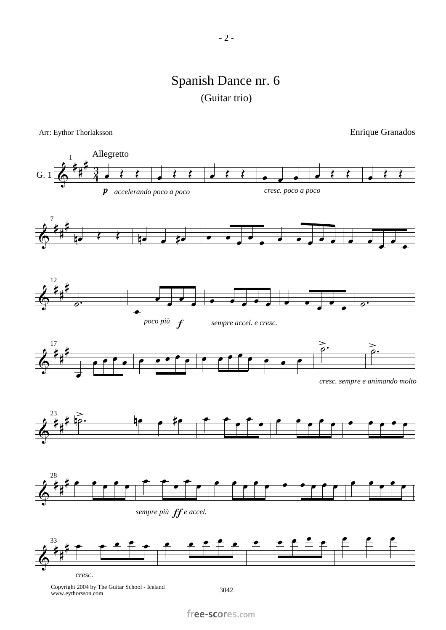## Spanish Dance nr. 6 (Guitar trio)

Arr: Eythor Thorlaksson Enrique Granados

![](_page_9_Figure_3.jpeg)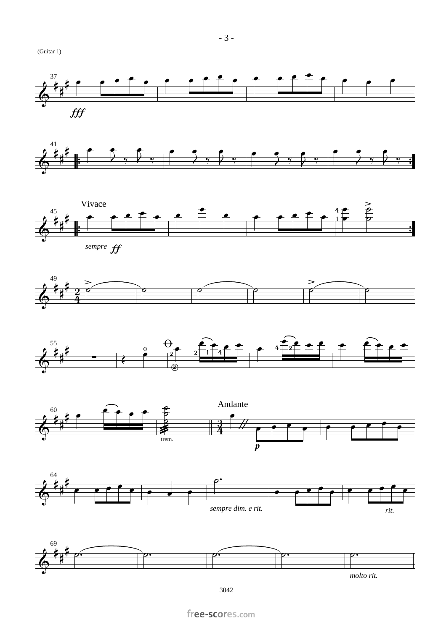(Guitar 1)

![](_page_10_Figure_1.jpeg)

![](_page_10_Figure_2.jpeg)

![](_page_10_Figure_3.jpeg)

![](_page_10_Figure_4.jpeg)

![](_page_10_Figure_5.jpeg)

![](_page_10_Figure_6.jpeg)

![](_page_10_Figure_7.jpeg)

![](_page_10_Figure_8.jpeg)

3042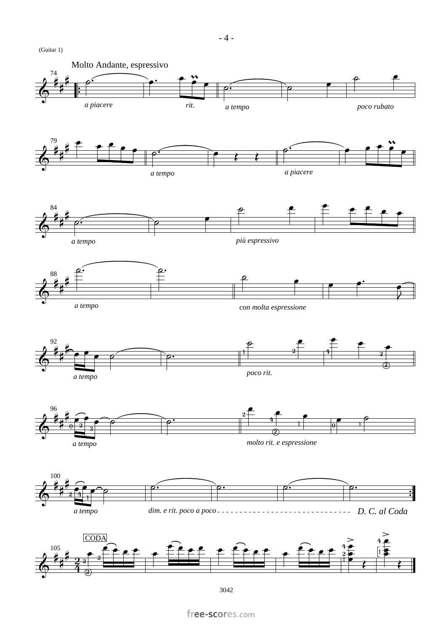- 4 -

![](_page_11_Figure_1.jpeg)

![](_page_11_Figure_2.jpeg)

3042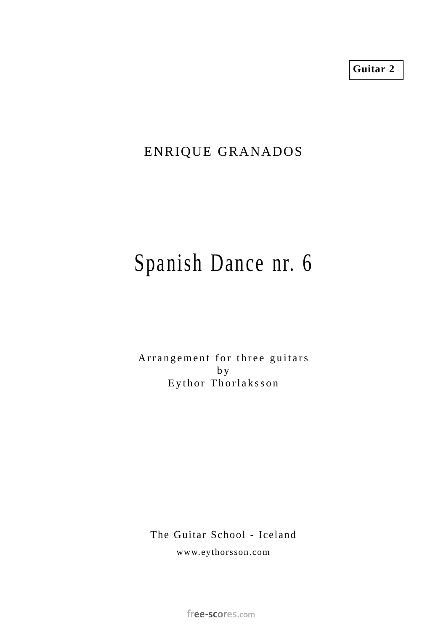**Guitar 2**

## ENRIQUE GRANADOS

# Spanish Dance nr. 6

Arrangement for three guitars b y Eythor Thorlaksson

The Guitar School - Iceland www.eythorsson.com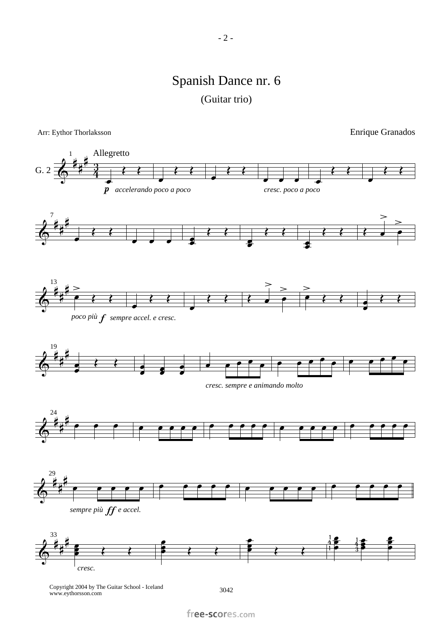Spanish Dance nr. 6

(Guitar trio)

Arr: Eythor Thorlaksson Enrique Granados

![](_page_13_Figure_4.jpeg)

- 2 -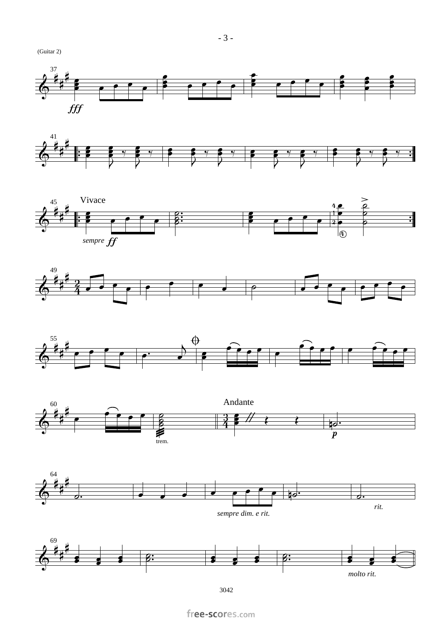- 3 -

(Guitar 2)

![](_page_14_Figure_2.jpeg)

![](_page_14_Figure_3.jpeg)

![](_page_14_Figure_4.jpeg)

![](_page_14_Figure_5.jpeg)

![](_page_14_Figure_6.jpeg)

![](_page_14_Figure_7.jpeg)

![](_page_14_Figure_8.jpeg)

![](_page_14_Figure_9.jpeg)

3042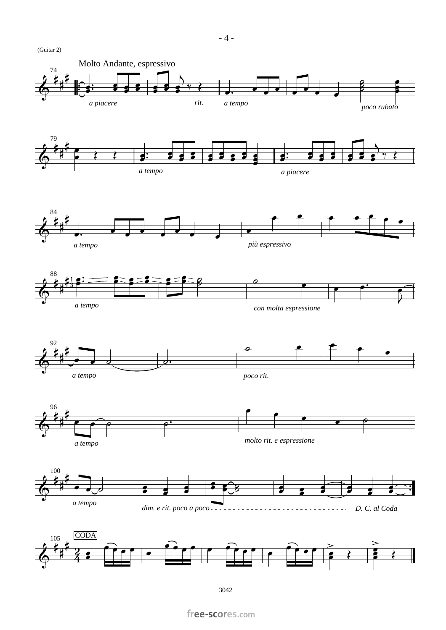- 4 -

![](_page_15_Figure_1.jpeg)

3042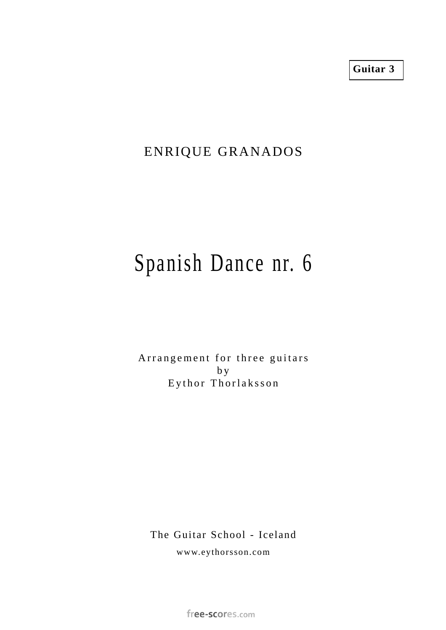**Guitar 3**

### ENRIQUE GRANADOS

# Spanish Dance nr. 6

Arrangement for three guitars b y Eythor Thorlaksson

The Guitar School - Iceland www.eythorsson.com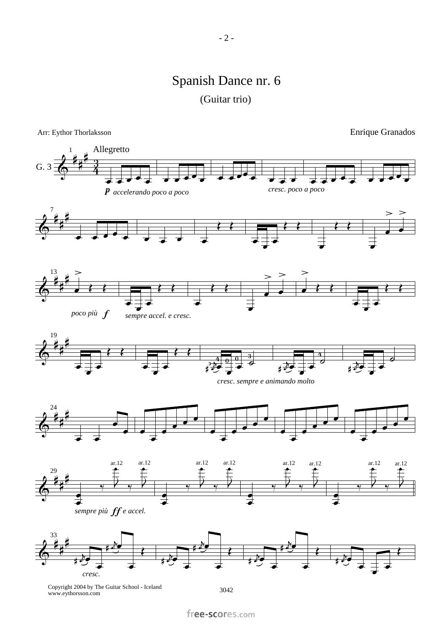## Spanish Dance nr. 6

(Guitar trio)

![](_page_17_Figure_2.jpeg)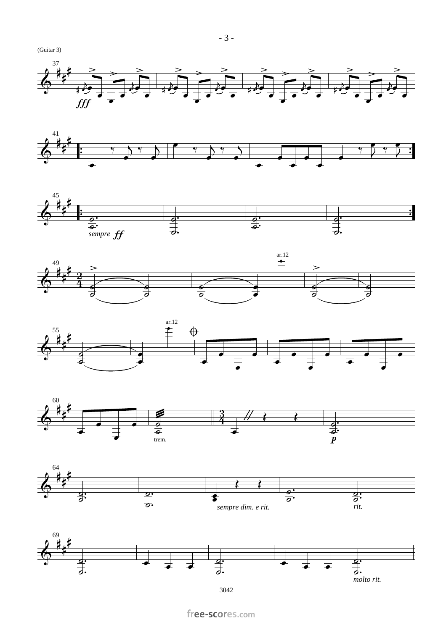(Guitar 3)

![](_page_18_Figure_1.jpeg)

![](_page_18_Figure_2.jpeg)

![](_page_18_Figure_3.jpeg)

![](_page_18_Figure_4.jpeg)

![](_page_18_Figure_5.jpeg)

![](_page_18_Figure_6.jpeg)

![](_page_18_Figure_7.jpeg)

![](_page_18_Figure_8.jpeg)

3042